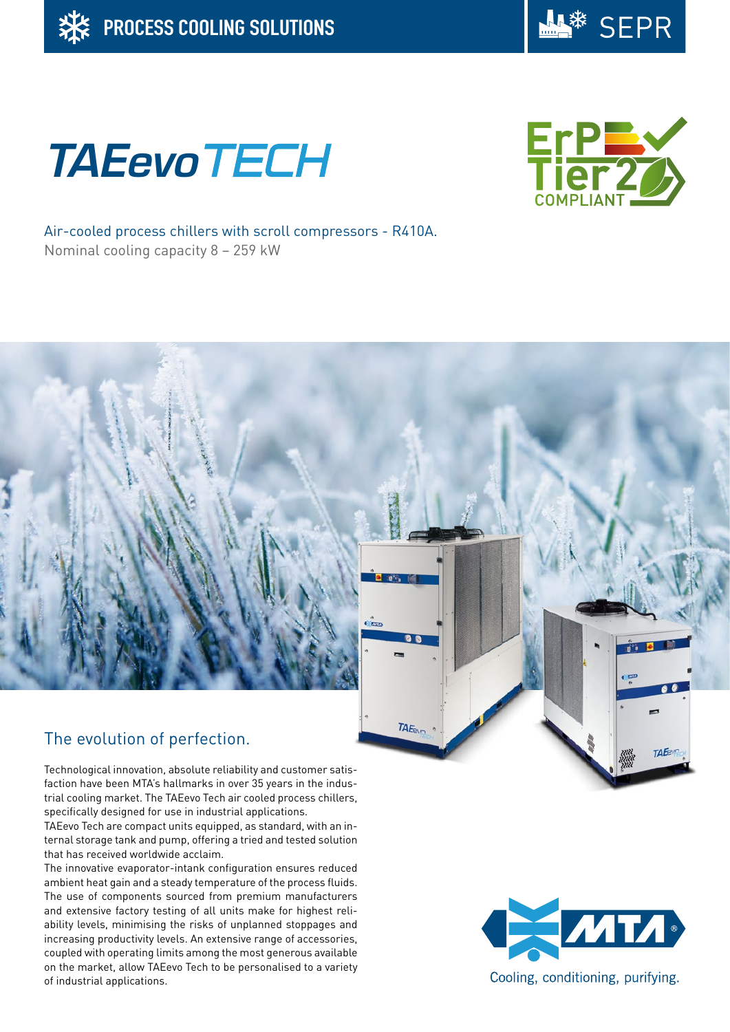

# **TAEevoTECH**



Air-cooled process chillers with scroll compressors - R410A. Nominal cooling capacity 8 – 259 kW

## The evolution of perfection.

Technological innovation, absolute reliability and customer satisfaction have been MTA's hallmarks in over 35 years in the industrial cooling market. The TAEevo Tech air cooled process chillers, specifically designed for use in industrial applications.

TAEevo Tech are compact units equipped, as standard, with an internal storage tank and pump, offering a tried and tested solution that has received worldwide acclaim.

The innovative evaporator-intank configuration ensures reduced ambient heat gain and a steady temperature of the process fluids. The use of components sourced from premium manufacturers and extensive factory testing of all units make for highest reliability levels, minimising the risks of unplanned stoppages and increasing productivity levels. An extensive range of accessories, coupled with operating limits among the most generous available on the market, allow TAEevo Tech to be personalised to a variety of industrial applications.



TAE